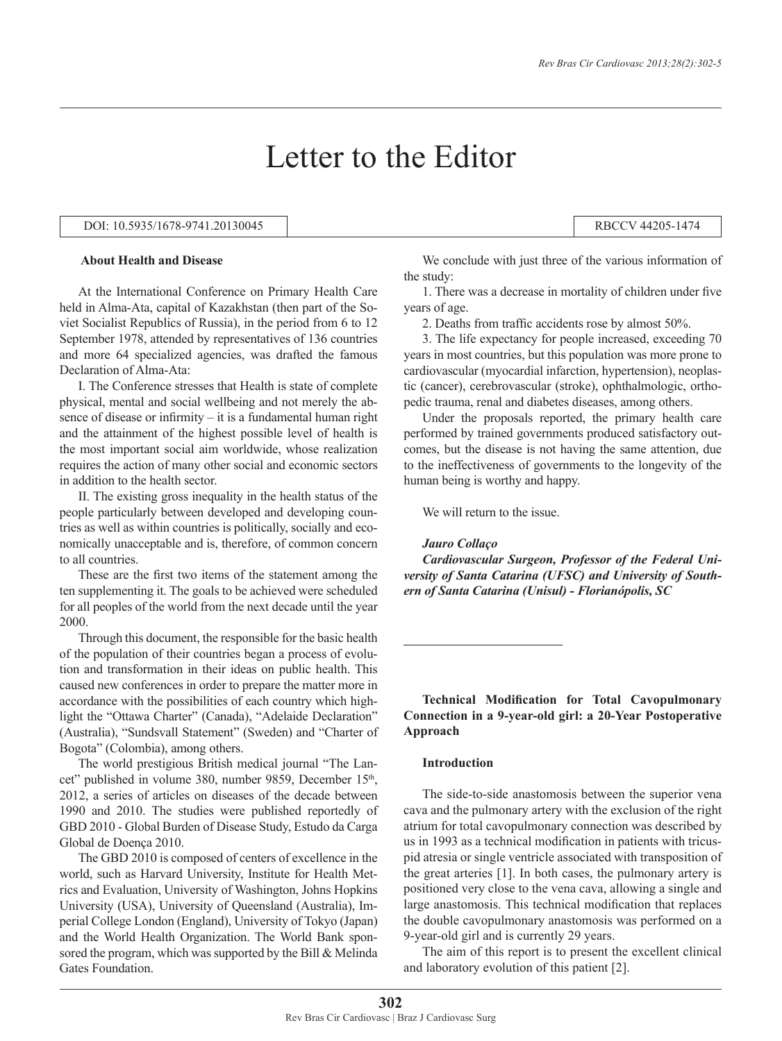# Letter to the Editor

### DOI: 10.5935/1678-9741.20130045 RBCCV 44205-1474

### **About Health and Disease**

At the International Conference on Primary Health Care held in Alma-Ata, capital of Kazakhstan (then part of the Soviet Socialist Republics of Russia), in the period from 6 to 12 September 1978, attended by representatives of 136 countries and more 64 specialized agencies, was drafted the famous Declaration of Alma-Ata:

I. The Conference stresses that Health is state of complete physical, mental and social wellbeing and not merely the absence of disease or infirmity – it is a fundamental human right and the attainment of the highest possible level of health is the most important social aim worldwide, whose realization requires the action of many other social and economic sectors in addition to the health sector.

II. The existing gross inequality in the health status of the people particularly between developed and developing countries as well as within countries is politically, socially and economically unacceptable and is, therefore, of common concern to all countries.

These are the first two items of the statement among the ten supplementing it. The goals to be achieved were scheduled for all peoples of the world from the next decade until the year 2000.

Through this document, the responsible for the basic health of the population of their countries began a process of evolution and transformation in their ideas on public health. This caused new conferences in order to prepare the matter more in accordance with the possibilities of each country which highlight the "Ottawa Charter" (Canada), "Adelaide Declaration" (Australia), "Sundsvall Statement" (Sweden) and "Charter of Bogota" (Colombia), among others.

The world prestigious British medical journal "The Lancet" published in volume 380, number 9859, December 15<sup>th</sup>, 2012, a series of articles on diseases of the decade between 1990 and 2010. The studies were published reportedly of GBD 2010 - Global Burden of Disease Study, Estudo da Carga Global de Doença 2010.

The GBD 2010 is composed of centers of excellence in the world, such as Harvard University, Institute for Health Metrics and Evaluation, University of Washington, Johns Hopkins University (USA), University of Queensland (Australia), Imperial College London (England), University of Tokyo (Japan) and the World Health Organization. The World Bank sponsored the program, which was supported by the Bill & Melinda Gates Foundation.

We conclude with just three of the various information of the study:

1. There was a decrease in mortality of children under five years of age.

2. Deaths from traffic accidents rose by almost 50%.

3. The life expectancy for people increased, exceeding 70 years in most countries, but this population was more prone to cardiovascular (myocardial infarction, hypertension), neoplastic (cancer), cerebrovascular (stroke), ophthalmologic, orthopedic trauma, renal and diabetes diseases, among others.

Under the proposals reported, the primary health care performed by trained governments produced satisfactory outcomes, but the disease is not having the same attention, due to the ineffectiveness of governments to the longevity of the human being is worthy and happy.

We will return to the issue.

### *Jauro Collaço*

*Cardiovascular Surgeon, Professor of the Federal University of Santa Catarina (UFSC) and University of Southern of Santa Catarina (Unisul) - Florianópolis, SC*

# **Technical Modification for Total Cavopulmonary Connection in a 9-year-old girl: a 20-Year Postoperative Approach**

# **Introduction**

The side-to-side anastomosis between the superior vena cava and the pulmonary artery with the exclusion of the right atrium for total cavopulmonary connection was described by us in 1993 as a technical modification in patients with tricuspid atresia or single ventricle associated with transposition of the great arteries [1]. In both cases, the pulmonary artery is positioned very close to the vena cava, allowing a single and large anastomosis. This technical modification that replaces the double cavopulmonary anastomosis was performed on a 9-year-old girl and is currently 29 years.

The aim of this report is to present the excellent clinical and laboratory evolution of this patient [2].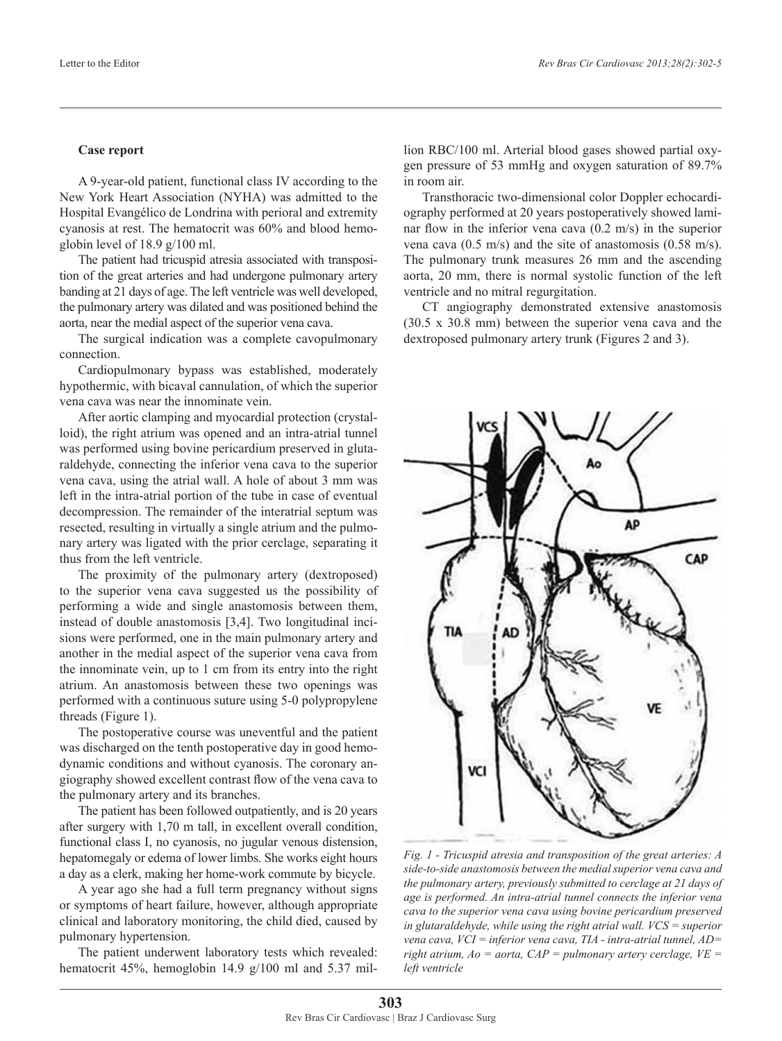## **Case report**

A 9-year-old patient, functional class IV according to the New York Heart Association (NYHA) was admitted to the Hospital Evangélico de Londrina with perioral and extremity cyanosis at rest. The hematocrit was 60% and blood hemoglobin level of 18.9 g/100 ml.

The patient had tricuspid atresia associated with transposition of the great arteries and had undergone pulmonary artery banding at 21 days of age. The left ventricle was well developed, the pulmonary artery was dilated and was positioned behind the aorta, near the medial aspect of the superior vena cava.

The surgical indication was a complete cavopulmonary connection.

Cardiopulmonary bypass was established, moderately hypothermic, with bicaval cannulation, of which the superior vena cava was near the innominate vein.

After aortic clamping and myocardial protection (crystalloid), the right atrium was opened and an intra-atrial tunnel was performed using bovine pericardium preserved in glutaraldehyde, connecting the inferior vena cava to the superior vena cava, using the atrial wall. A hole of about 3 mm was left in the intra-atrial portion of the tube in case of eventual decompression. The remainder of the interatrial septum was resected, resulting in virtually a single atrium and the pulmonary artery was ligated with the prior cerclage, separating it thus from the left ventricle.

The proximity of the pulmonary artery (dextroposed) to the superior vena cava suggested us the possibility of performing a wide and single anastomosis between them, instead of double anastomosis [3,4]. Two longitudinal incisions were performed, one in the main pulmonary artery and another in the medial aspect of the superior vena cava from the innominate vein, up to 1 cm from its entry into the right atrium. An anastomosis between these two openings was performed with a continuous suture using 5-0 polypropylene threads (Figure 1).

The postoperative course was uneventful and the patient was discharged on the tenth postoperative day in good hemodynamic conditions and without cyanosis. The coronary angiography showed excellent contrast flow of the vena cava to the pulmonary artery and its branches.

The patient has been followed outpatiently, and is 20 years after surgery with 1,70 m tall, in excellent overall condition, functional class I, no cyanosis, no jugular venous distension, hepatomegaly or edema of lower limbs. She works eight hours a day as a clerk, making her home-work commute by bicycle.

A year ago she had a full term pregnancy without signs or symptoms of heart failure, however, although appropriate clinical and laboratory monitoring, the child died, caused by pulmonary hypertension.

The patient underwent laboratory tests which revealed: hematocrit 45%, hemoglobin 14.9 g/100 ml and 5.37 million RBC/100 ml. Arterial blood gases showed partial oxygen pressure of 53 mmHg and oxygen saturation of 89.7% in room air.

Transthoracic two-dimensional color Doppler echocardiography performed at 20 years postoperatively showed laminar flow in the inferior vena cava (0.2 m/s) in the superior vena cava (0.5 m/s) and the site of anastomosis (0.58 m/s). The pulmonary trunk measures 26 mm and the ascending aorta, 20 mm, there is normal systolic function of the left ventricle and no mitral regurgitation.

CT angiography demonstrated extensive anastomosis (30.5 x 30.8 mm) between the superior vena cava and the dextroposed pulmonary artery trunk (Figures 2 and 3).



*Fig. 1 - Tricuspid atresia and transposition of the great arteries: A side-to-side anastomosis between the medial superior vena cava and the pulmonary artery, previously submitted to cerclage at 21 days of age is performed. An intra-atrial tunnel connects the inferior vena cava to the superior vena cava using bovine pericardium preserved in glutaraldehyde, while using the right atrial wall. VCS = superior vena cava, VCI = inferior vena cava, TIA - intra-atrial tunnel, AD= right atrium, Ao = aorta, CAP = pulmonary artery cerclage, VE = left ventricle*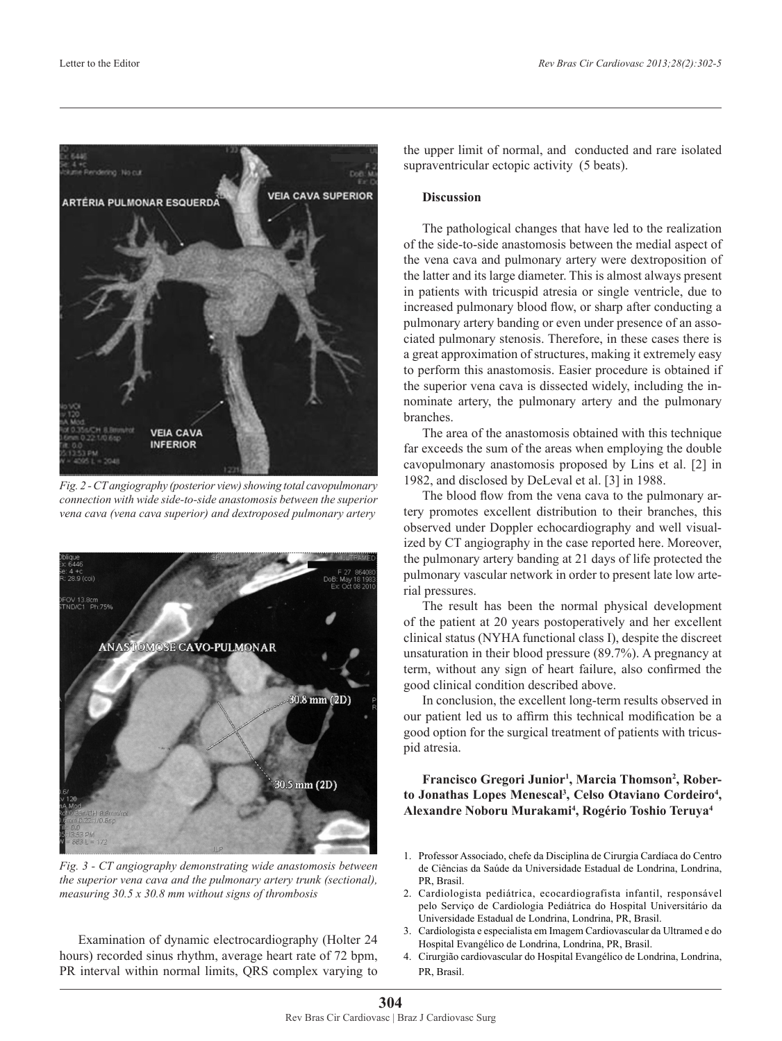

*Fig. 2 - CT angiography (posterior view) showing total cavopulmonary connection with wide side-to-side anastomosis between the superior vena cava (vena cava superior) and dextroposed pulmonary artery*



*Fig. 3 - CT angiography demonstrating wide anastomosis between the superior vena cava and the pulmonary artery trunk (sectional), measuring 30.5 x 30.8 mm without signs of thrombosis*

Examination of dynamic electrocardiography (Holter 24 hours) recorded sinus rhythm, average heart rate of 72 bpm, PR interval within normal limits, QRS complex varying to the upper limit of normal, and conducted and rare isolated supraventricular ectopic activity (5 beats).

# **Discussion**

The pathological changes that have led to the realization of the side-to-side anastomosis between the medial aspect of the vena cava and pulmonary artery were dextroposition of the latter and its large diameter. This is almost always present in patients with tricuspid atresia or single ventricle, due to increased pulmonary blood flow, or sharp after conducting a pulmonary artery banding or even under presence of an associated pulmonary stenosis. Therefore, in these cases there is a great approximation of structures, making it extremely easy to perform this anastomosis. Easier procedure is obtained if the superior vena cava is dissected widely, including the innominate artery, the pulmonary artery and the pulmonary branches.

The area of the anastomosis obtained with this technique far exceeds the sum of the areas when employing the double cavopulmonary anastomosis proposed by Lins et al. [2] in 1982, and disclosed by DeLeval et al. [3] in 1988.

The blood flow from the vena cava to the pulmonary artery promotes excellent distribution to their branches, this observed under Doppler echocardiography and well visualized by CT angiography in the case reported here. Moreover, the pulmonary artery banding at 21 days of life protected the pulmonary vascular network in order to present late low arterial pressures.

The result has been the normal physical development of the patient at 20 years postoperatively and her excellent clinical status (NYHA functional class I), despite the discreet unsaturation in their blood pressure (89.7%). A pregnancy at term, without any sign of heart failure, also confirmed the good clinical condition described above.

In conclusion, the excellent long-term results observed in our patient led us to affirm this technical modification be a good option for the surgical treatment of patients with tricuspid atresia.

**Francisco Gregori Junior<sup>1</sup> , Marcia Thomson<sup>2</sup> , Roberto Jonathas Lopes Menescal<sup>3</sup> , Celso Otaviano Cordeiro<sup>4</sup> , Alexandre Noboru Murakami<sup>4</sup> , Rogério Toshio Teruya<sup>4</sup>**

- 2. Cardiologista pediátrica, ecocardiografista infantil, responsável pelo Serviço de Cardiologia Pediátrica do Hospital Universitário da Universidade Estadual de Londrina, Londrina, PR, Brasil.
- 3. Cardiologista e especialista em Imagem Cardiovascular da Ultramed e do Hospital Evangélico de Londrina, Londrina, PR, Brasil.
- 4. Cirurgião cardiovascular do Hospital Evangélico de Londrina, Londrina, PR, Brasil.

<sup>1.</sup> Professor Associado, chefe da Disciplina de Cirurgia Cardíaca do Centro de Ciências da Saúde da Universidade Estadual de Londrina, Londrina, PR, Brasil.